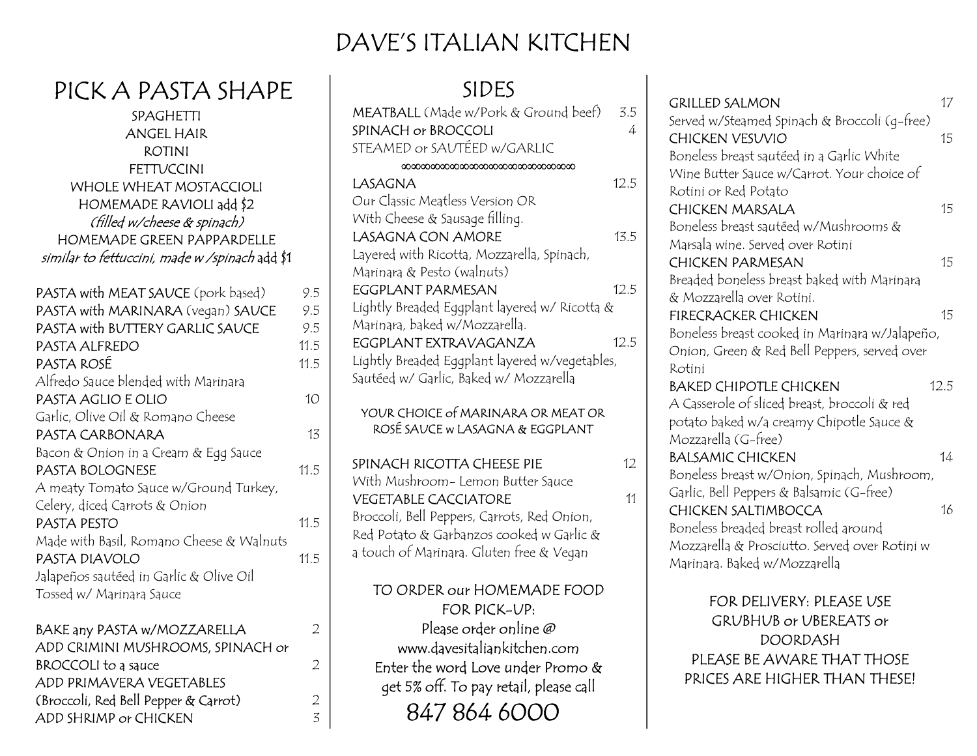### DAVE'S ITALIAN KITCHEN

| PICK A PASTA SHAPE                             |     |
|------------------------------------------------|-----|
| SPAGHETTI                                      |     |
| <b>ANGEL HAIR</b>                              |     |
| <b>ROTINI</b>                                  |     |
| FETTUCCINI                                     |     |
| <b>WHOLE WHEAT MOSTACCIOLI</b>                 |     |
| HOMEMADE RAVIOLI add \$2                       |     |
| (filled w/cheese & spinach)                    |     |
| <b>HOMEMADE GREEN PAPPARDELLE</b>              |     |
| similar to fettuccini, made w /spinach add \$1 |     |
| PASTA with MEAT SAUCE (pork based)             | 9.5 |
| PASTA with MARINARA (vegan) SAUCE              | 9.5 |
| PASTA with BUTTERY GARLIC SAUCE                | 9.5 |

| PASTA with BUTTERY GARLIC SAUCE          | 9.5  |
|------------------------------------------|------|
| PASTA ALFREDO                            | 11.5 |
| PASTA ROSÉ                               | 11.5 |
| Alfredo Sauce blended with Marinara      |      |
| PASTA AGLIO E OLIO                       | 10   |
| Garlic, Olive Oil & Romano Cheese        |      |
| PASTA CARBONARA                          | 13   |
| Bacon & Onion in a Cream & Egg Sauce     |      |
| <b>PASTA BOLOGNESE</b>                   | 11.5 |
| A meaty Tomato Sauce w/Ground Turkey,    |      |
| Celery, diced Carrots & Onion            |      |
| <b>PASTA PESTO</b>                       | 11.5 |
| Made with Basil, Romano Cheese & Walnuts |      |
| PASTA DIAVOLO                            | 11.5 |
| Jalapeños sautéed in Garlic & Olive Oil  |      |
| Tossed w/ Marinara Sauce                 |      |
| BAKE any PASTA w/MOZZARELLA              | フ    |

| BAKE any PASTA w/MOZZARELLA          |               |
|--------------------------------------|---------------|
| ADD CRIMINI MUSHROOMS, SPINACH or    |               |
| <b>BROCCOLI</b> to a sauce           |               |
| ADD PRIMAVERA VEGETABLES             |               |
| (Broccoli, Red Bell Pepper & Carrot) | $\mathcal{D}$ |
| ADD SHRIMP or CHICKEN                | $\mathcal{Z}$ |
|                                      |               |

| SIDES                                                                 |      |
|-----------------------------------------------------------------------|------|
| MEATBALL (Made w/Pork & Ground beef)                                  | 3.5  |
| SPINACH or BROCCOLI                                                   | 4    |
| STEAMED or SAUTÉED w/GARLIC                                           |      |
|                                                                       |      |
| I ASAGNA                                                              | 12.5 |
| Our Classic Meatless Version OR                                       |      |
| With Cheese & Sausage filling.                                        |      |
| <b>LASAGNA CON AMORE</b>                                              | 13.5 |
| Layered with Ricotta, Mozzarella, Spinach,                            |      |
| Marinara & Pesto (walnuts)                                            |      |
| <b>EGGPLANT PARMESAN</b>                                              | 12.5 |
| Lightly Breaded Eggplant layered w/ Ricotta &                         |      |
| Marinara, baked w/Mozzarella.                                         |      |
| EGGPLANT EXTRAVAGANZA                                                 | 12.5 |
| Lightly Breaded Eggplant layered w/vegetables,                        |      |
| Sautéed w/ Garlic, Baked w/ Mozzarella                                |      |
| YOUR CHOICE of MARINARA OR MEAT OR<br>ROSÉ SAUCE w LASAGNA & EGGPLANT |      |
| SPINACH RICOTTA CHEESE PIE                                            | 12   |
| With Mushroom- Lemon Butter Sauce                                     |      |
| <b>VEGETABLE CACCIATORE</b>                                           | 11   |
| Broccoli, Bell Peppers, Carrots, Red Onion,                           |      |
| Red Potato & Garbanzos cooked w Garlic &                              |      |
| a touch of Marinara. Gluten free & Vegan                              |      |
|                                                                       |      |
| TO ORDER our HOMEMADE FOOD                                            |      |
| FOR PICK-UP:                                                          |      |
| Please order online @                                                 |      |
| www.davesitaliankitchen.com                                           |      |
| Enter the word Love under Promo &                                     |      |
| get 5% off. To pay retail, please call                                |      |
|                                                                       |      |

847 864 6000

FOR DELIVERY: PLEASE USE GRUBHUB or UBEREATS or DOORDASH PLEASE BE AWARE THAT THOSE PRICES ARE HIGHER THAN THESE!